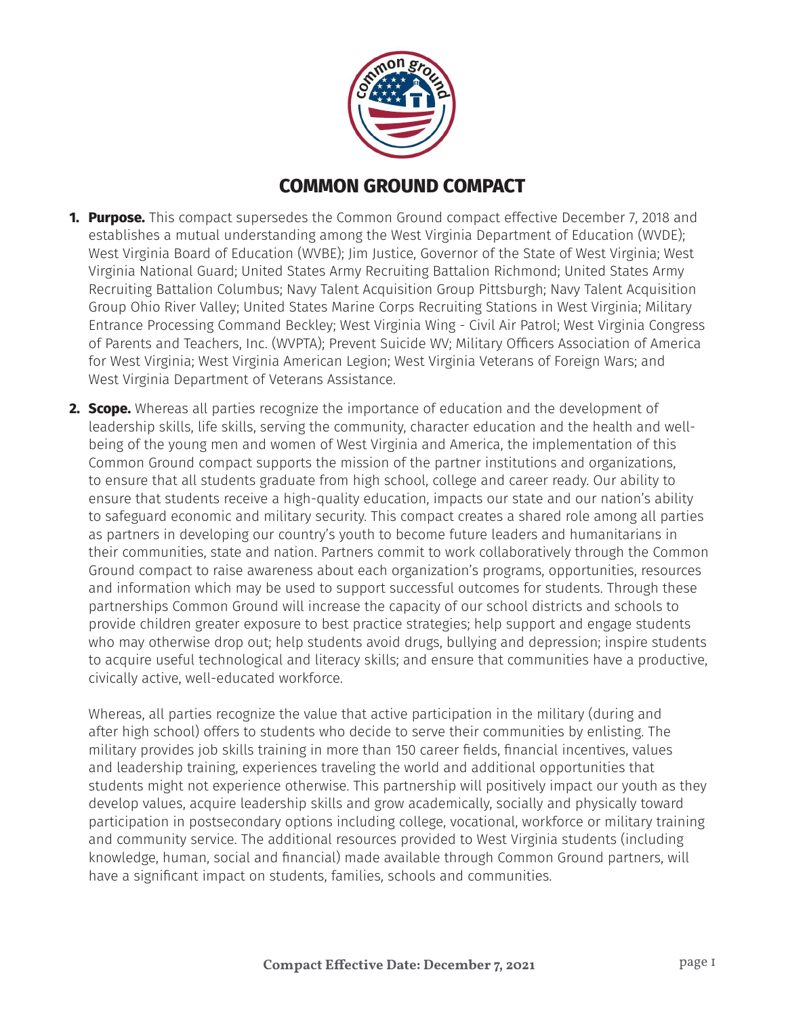

# **COMMON GROUND COMPACT**

- **1. Purpose.** This compact supersedes the Common Ground compact effective December 7, 2018 and establishes a mutual understanding among the West Virginia Department of Education (WVDE); West Virginia Board of Education (WVBE); Jim Justice, Governor of the State of West Virginia; West Virginia National Guard; United States Army Recruiting Battalion Richmond; United States Army Recruiting Battalion Columbus; Navy Talent Acquisition Group Pittsburgh; Navy Talent Acquisition Group Ohio River Valley; United States Marine Corps Recruiting Stations in West Virginia; Military Entrance Processing Command Beckley; West Virginia Wing - Civil Air Patrol; West Virginia Congress of Parents and Teachers, Inc. (WVPTA); Prevent Suicide WV; Military Officers Association of America for West Virginia; West Virginia American Legion; West Virginia Veterans of Foreign Wars; and West Virginia Department of Veterans Assistance.
- **2. Scope.** Whereas all parties recognize the importance of education and the development of leadership skills, life skills, serving the community, character education and the health and wellbeing of the young men and women of West Virginia and America, the implementation of this Common Ground compact supports the mission of the partner institutions and organizations, to ensure that all students graduate from high school, college and career ready. Our ability to ensure that students receive a high-quality education, impacts our state and our nation's ability to safeguard economic and military security. This compact creates a shared role among all parties as partners in developing our country's youth to become future leaders and humanitarians in their communities, state and nation. Partners commit to work collaboratively through the Common Ground compact to raise awareness about each organization's programs, opportunities, resources and information which may be used to support successful outcomes for students. Through these partnerships Common Ground will increase the capacity of our school districts and schools to provide children greater exposure to best practice strategies; help support and engage students who may otherwise drop out; help students avoid drugs, bullying and depression; inspire students to acquire useful technological and literacy skills; and ensure that communities have a productive, civically active, well-educated workforce.

Whereas, all parties recognize the value that active participation in the military (during and after high school) offers to students who decide to serve their communities by enlisting. The military provides job skills training in more than 150 career fields, financial incentives, values and leadership training, experiences traveling the world and additional opportunities that students might not experience otherwise. This partnership will positively impact our youth as they develop values, acquire leadership skills and grow academically, socially and physically toward participation in postsecondary options including college, vocational, workforce or military training and community service. The additional resources provided to West Virginia students (including knowledge, human, social and financial) made available through Common Ground partners, will have a significant impact on students, families, schools and communities.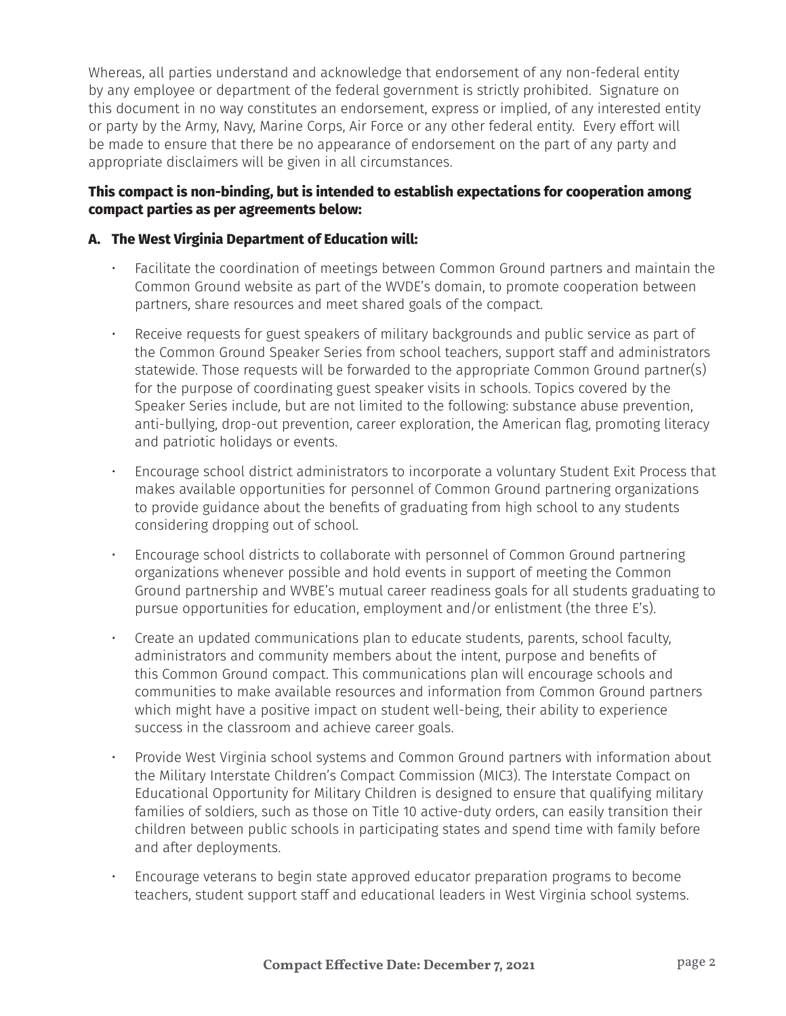Whereas, all parties understand and acknowledge that endorsement of any non-federal entity by any employee or department of the federal government is strictly prohibited. Signature on this document in no way constitutes an endorsement, express or implied, of any interested entity or party by the Army, Navy, Marine Corps, Air Force or any other federal entity. Every effort will be made to ensure that there be no appearance of endorsement on the part of any party and appropriate disclaimers will be given in all circumstances.

# **This compact is non-binding, but is intended to establish expectations for cooperation among compact parties as per agreements below:**

## **A. The West Virginia Department of Education will:**

- Facilitate the coordination of meetings between Common Ground partners and maintain the Common Ground website as part of the WVDE's domain, to promote cooperation between partners, share resources and meet shared goals of the compact.
- Receive requests for guest speakers of military backgrounds and public service as part of the Common Ground Speaker Series from school teachers, support staff and administrators statewide. Those requests will be forwarded to the appropriate Common Ground partner(s) for the purpose of coordinating guest speaker visits in schools. Topics covered by the Speaker Series include, but are not limited to the following: substance abuse prevention, anti-bullying, drop-out prevention, career exploration, the American flag, promoting literacy and patriotic holidays or events.
- Encourage school district administrators to incorporate a voluntary Student Exit Process that makes available opportunities for personnel of Common Ground partnering organizations to provide guidance about the benefits of graduating from high school to any students considering dropping out of school.
- Encourage school districts to collaborate with personnel of Common Ground partnering organizations whenever possible and hold events in support of meeting the Common Ground partnership and WVBE's mutual career readiness goals for all students graduating to pursue opportunities for education, employment and/or enlistment (the three E's).
- Create an updated communications plan to educate students, parents, school faculty, administrators and community members about the intent, purpose and benefits of this Common Ground compact. This communications plan will encourage schools and communities to make available resources and information from Common Ground partners which might have a positive impact on student well-being, their ability to experience success in the classroom and achieve career goals.
- Provide West Virginia school systems and Common Ground partners with information about the Military Interstate Children's Compact Commission (MIC3). The Interstate Compact on Educational Opportunity for Military Children is designed to ensure that qualifying military families of soldiers, such as those on Title 10 active-duty orders, can easily transition their children between public schools in participating states and spend time with family before and after deployments.
- Encourage veterans to begin state approved educator preparation programs to become teachers, student support staff and educational leaders in West Virginia school systems.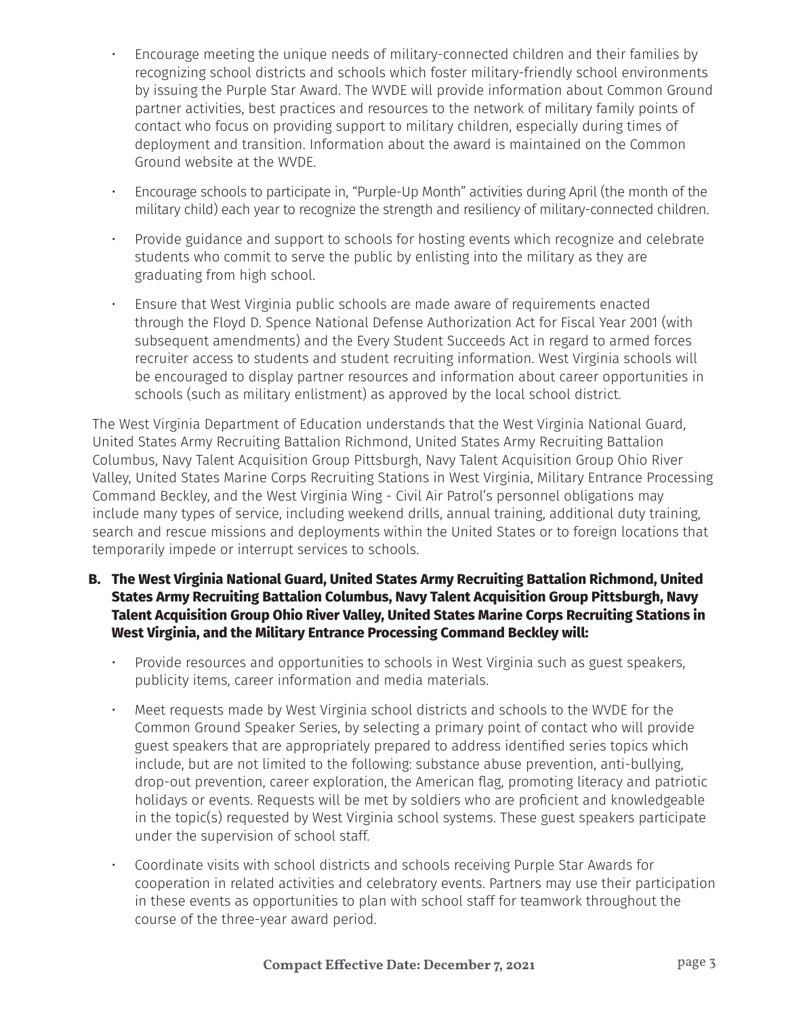- Encourage meeting the unique needs of military-connected children and their families by recognizing school districts and schools which foster military-friendly school environments by issuing the Purple Star Award. The WVDE will provide information about Common Ground partner activities, best practices and resources to the network of military family points of contact who focus on providing support to military children, especially during times of deployment and transition. Information about the award is maintained on the Common Ground website at the WVDE.
- Encourage schools to participate in, "Purple-Up Month" activities during April (the month of the military child) each year to recognize the strength and resiliency of military-connected children.
- Provide guidance and support to schools for hosting events which recognize and celebrate students who commit to serve the public by enlisting into the military as they are graduating from high school.
- Ensure that West Virginia public schools are made aware of requirements enacted through the Floyd D. Spence National Defense Authorization Act for Fiscal Year 2001 (with subsequent amendments) and the Every Student Succeeds Act in regard to armed forces recruiter access to students and student recruiting information. West Virginia schools will be encouraged to display partner resources and information about career opportunities in schools (such as military enlistment) as approved by the local school district.

The West Virginia Department of Education understands that the West Virginia National Guard, United States Army Recruiting Battalion Richmond, United States Army Recruiting Battalion Columbus, Navy Talent Acquisition Group Pittsburgh, Navy Talent Acquisition Group Ohio River Valley, United States Marine Corps Recruiting Stations in West Virginia, Military Entrance Processing Command Beckley, and the West Virginia Wing - Civil Air Patrol's personnel obligations may include many types of service, including weekend drills, annual training, additional duty training, search and rescue missions and deployments within the United States or to foreign locations that temporarily impede or interrupt services to schools.

- **B. The West Virginia National Guard, United States Army Recruiting Battalion Richmond, United States Army Recruiting Battalion Columbus, Navy Talent Acquisition Group Pittsburgh, Navy Talent Acquisition Group Ohio River Valley, United States Marine Corps Recruiting Stations in West Virginia, and the Military Entrance Processing Command Beckley will:**
	- Provide resources and opportunities to schools in West Virginia such as guest speakers, publicity items, career information and media materials.
	- Meet requests made by West Virginia school districts and schools to the WVDE for the Common Ground Speaker Series, by selecting a primary point of contact who will provide guest speakers that are appropriately prepared to address identified series topics which include, but are not limited to the following: substance abuse prevention, anti-bullying, drop-out prevention, career exploration, the American flag, promoting literacy and patriotic holidays or events. Requests will be met by soldiers who are proficient and knowledgeable in the topic(s) requested by West Virginia school systems. These guest speakers participate under the supervision of school staff.
	- Coordinate visits with school districts and schools receiving Purple Star Awards for cooperation in related activities and celebratory events. Partners may use their participation in these events as opportunities to plan with school staff for teamwork throughout the course of the three-year award period.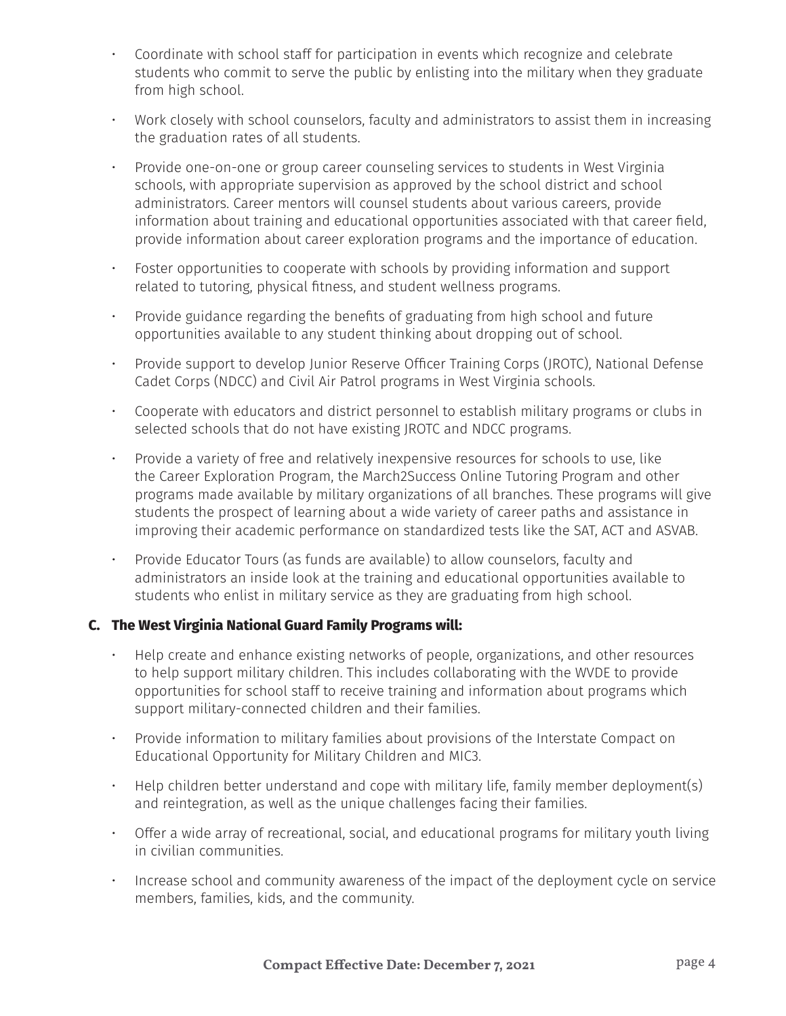- Coordinate with school staff for participation in events which recognize and celebrate students who commit to serve the public by enlisting into the military when they graduate from high school.
- Work closely with school counselors, faculty and administrators to assist them in increasing the graduation rates of all students.
- Provide one-on-one or group career counseling services to students in West Virginia schools, with appropriate supervision as approved by the school district and school administrators. Career mentors will counsel students about various careers, provide information about training and educational opportunities associated with that career field, provide information about career exploration programs and the importance of education.
- Foster opportunities to cooperate with schools by providing information and support related to tutoring, physical fitness, and student wellness programs.
- Provide guidance regarding the benefits of graduating from high school and future opportunities available to any student thinking about dropping out of school.
- Provide support to develop Junior Reserve Officer Training Corps (JROTC), National Defense Cadet Corps (NDCC) and Civil Air Patrol programs in West Virginia schools.
- Cooperate with educators and district personnel to establish military programs or clubs in selected schools that do not have existing JROTC and NDCC programs.
- Provide a variety of free and relatively inexpensive resources for schools to use, like the Career Exploration Program, the March2Success Online Tutoring Program and other programs made available by military organizations of all branches. These programs will give students the prospect of learning about a wide variety of career paths and assistance in improving their academic performance on standardized tests like the SAT, ACT and ASVAB.
- Provide Educator Tours (as funds are available) to allow counselors, faculty and administrators an inside look at the training and educational opportunities available to students who enlist in military service as they are graduating from high school.

# **C. The West Virginia National Guard Family Programs will:**

- Help create and enhance existing networks of people, organizations, and other resources to help support military children. This includes collaborating with the WVDE to provide opportunities for school staff to receive training and information about programs which support military-connected children and their families.
- Provide information to military families about provisions of the Interstate Compact on Educational Opportunity for Military Children and MIC3.
- Help children better understand and cope with military life, family member deployment(s) and reintegration, as well as the unique challenges facing their families.
- Offer a wide array of recreational, social, and educational programs for military youth living in civilian communities.
- Increase school and community awareness of the impact of the deployment cycle on service members, families, kids, and the community.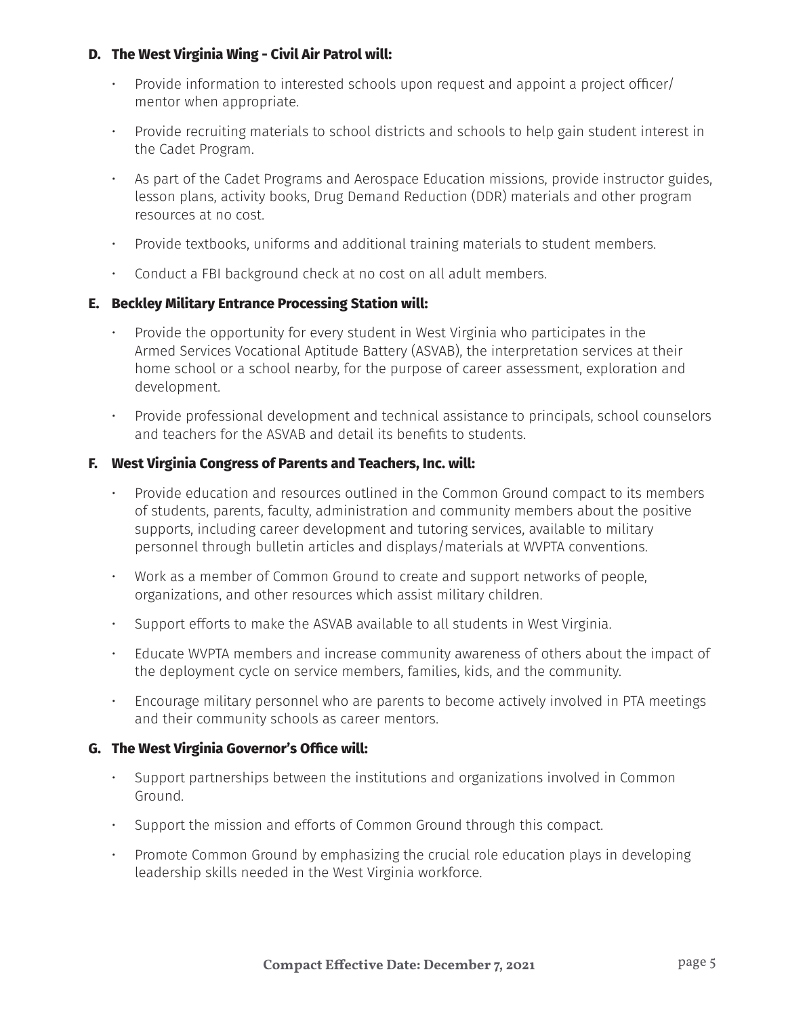### **D. The West Virginia Wing - Civil Air Patrol will:**

- Provide information to interested schools upon request and appoint a project officer/ mentor when appropriate.
- Provide recruiting materials to school districts and schools to help gain student interest in the Cadet Program.
- As part of the Cadet Programs and Aerospace Education missions, provide instructor guides, lesson plans, activity books, Drug Demand Reduction (DDR) materials and other program resources at no cost.
- Provide textbooks, uniforms and additional training materials to student members.
- Conduct a FBI background check at no cost on all adult members.

### **E. Beckley Military Entrance Processing Station will:**

- Provide the opportunity for every student in West Virginia who participates in the Armed Services Vocational Aptitude Battery (ASVAB), the interpretation services at their home school or a school nearby, for the purpose of career assessment, exploration and development.
- Provide professional development and technical assistance to principals, school counselors and teachers for the ASVAB and detail its benefits to students.

### **F. West Virginia Congress of Parents and Teachers, Inc. will:**

- Provide education and resources outlined in the Common Ground compact to its members of students, parents, faculty, administration and community members about the positive supports, including career development and tutoring services, available to military personnel through bulletin articles and displays/materials at WVPTA conventions.
- Work as a member of Common Ground to create and support networks of people, organizations, and other resources which assist military children.
- Support efforts to make the ASVAB available to all students in West Virginia.
- Educate WVPTA members and increase community awareness of others about the impact of the deployment cycle on service members, families, kids, and the community.
- Encourage military personnel who are parents to become actively involved in PTA meetings and their community schools as career mentors.

#### **G. The West Virginia Governor's Office will:**

- Support partnerships between the institutions and organizations involved in Common Ground.
- Support the mission and efforts of Common Ground through this compact.
- Promote Common Ground by emphasizing the crucial role education plays in developing leadership skills needed in the West Virginia workforce.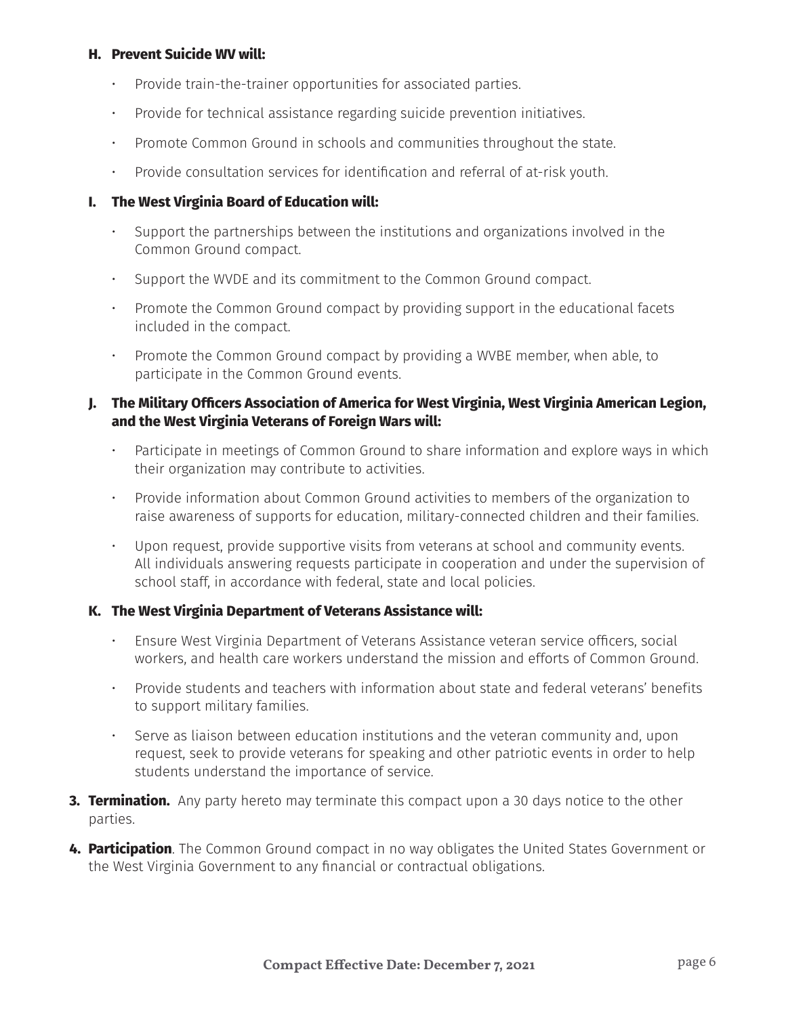#### **H. Prevent Suicide WV will:**

- Provide train-the-trainer opportunities for associated parties.
- Provide for technical assistance regarding suicide prevention initiatives.
- Promote Common Ground in schools and communities throughout the state.
- Provide consultation services for identification and referral of at-risk youth.

## **I. The West Virginia Board of Education will:**

- Support the partnerships between the institutions and organizations involved in the Common Ground compact.
- Support the WVDE and its commitment to the Common Ground compact.
- Promote the Common Ground compact by providing support in the educational facets included in the compact.
- Promote the Common Ground compact by providing a WVBE member, when able, to participate in the Common Ground events.

### **J. The Military Officers Association of America for West Virginia, West Virginia American Legion, and the West Virginia Veterans of Foreign Wars will:**

- Participate in meetings of Common Ground to share information and explore ways in which their organization may contribute to activities.
- Provide information about Common Ground activities to members of the organization to raise awareness of supports for education, military-connected children and their families.
- Upon request, provide supportive visits from veterans at school and community events. All individuals answering requests participate in cooperation and under the supervision of school staff, in accordance with federal, state and local policies.

#### **K. The West Virginia Department of Veterans Assistance will:**

- Ensure West Virginia Department of Veterans Assistance veteran service officers, social workers, and health care workers understand the mission and efforts of Common Ground.
- Provide students and teachers with information about state and federal veterans' benefits to support military families.
- Serve as liaison between education institutions and the veteran community and, upon request, seek to provide veterans for speaking and other patriotic events in order to help students understand the importance of service.
- **3. Termination.** Any party hereto may terminate this compact upon a 30 days notice to the other parties.
- **4. Participation**. The Common Ground compact in no way obligates the United States Government or the West Virginia Government to any financial or contractual obligations.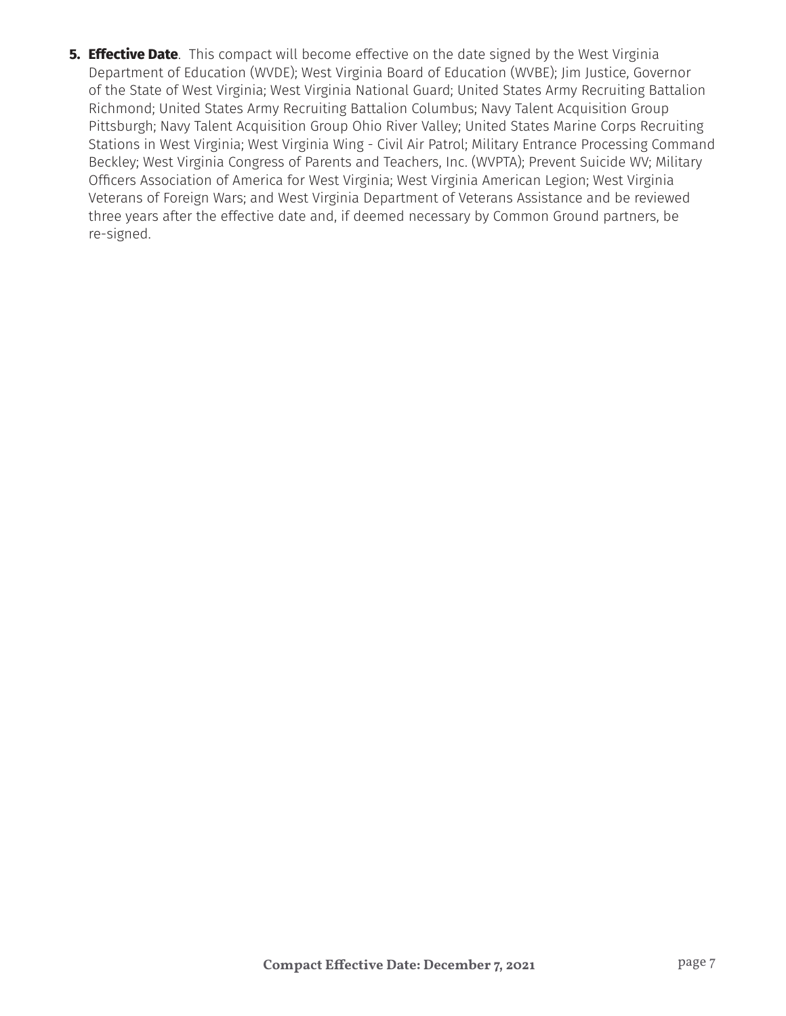**5. Effective Date**. This compact will become effective on the date signed by the West Virginia Department of Education (WVDE); West Virginia Board of Education (WVBE); Jim Justice, Governor of the State of West Virginia; West Virginia National Guard; United States Army Recruiting Battalion Richmond; United States Army Recruiting Battalion Columbus; Navy Talent Acquisition Group Pittsburgh; Navy Talent Acquisition Group Ohio River Valley; United States Marine Corps Recruiting Stations in West Virginia; West Virginia Wing - Civil Air Patrol; Military Entrance Processing Command Beckley; West Virginia Congress of Parents and Teachers, Inc. (WVPTA); Prevent Suicide WV; Military Officers Association of America for West Virginia; West Virginia American Legion; West Virginia Veterans of Foreign Wars; and West Virginia Department of Veterans Assistance and be reviewed three years after the effective date and, if deemed necessary by Common Ground partners, be re-signed.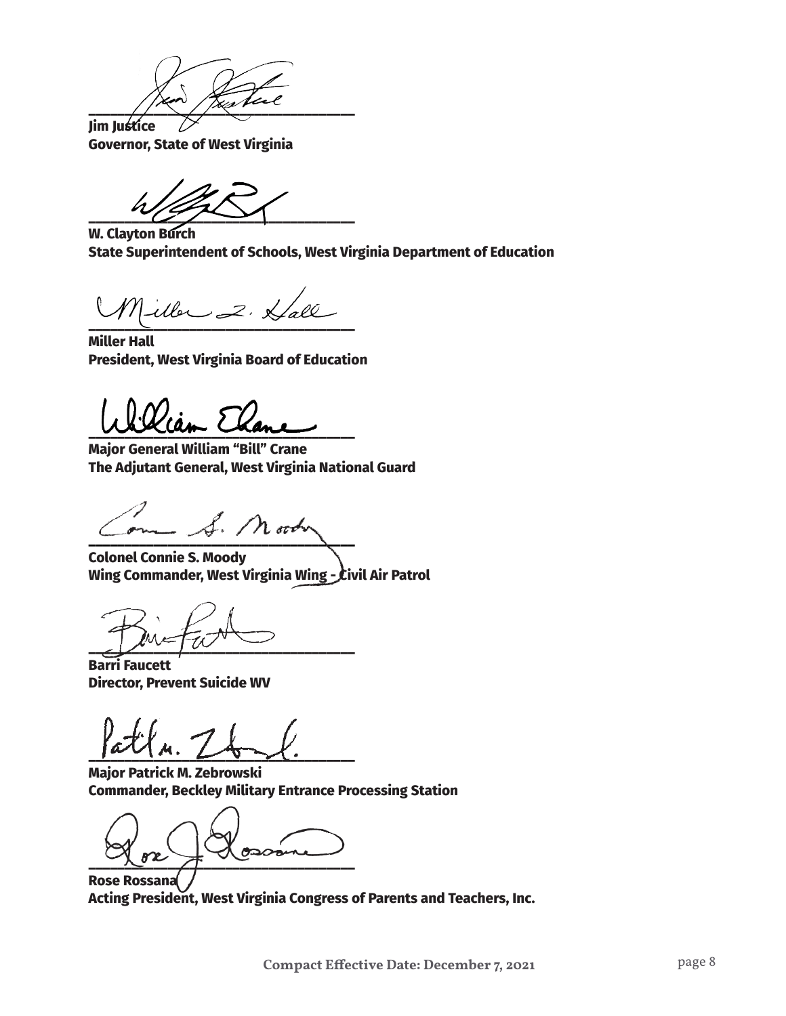$\frac{1}{2}$ 

**Jim Justice Governor, State of West Virginia**

 $\overline{\phantom{a}}$ 

**W. Clayton Burch State Superintendent of Schools, West Virginia Department of Education**

**\_\_\_\_\_\_\_\_\_\_\_\_\_\_\_\_\_\_\_\_\_\_\_\_\_\_\_\_\_\_\_\_\_\_\_\_\_**

**Miller Hall President, West Virginia Board of Education**

**\_\_\_\_\_\_\_\_\_\_\_\_\_\_\_\_\_\_\_\_\_\_\_\_\_\_\_\_\_\_\_\_\_\_\_\_\_**

**Major General William "Bill" Crane The Adjutant General, West Virginia National Guard**

**\_\_\_\_\_\_\_\_\_\_\_\_\_\_\_\_\_\_\_\_\_\_\_\_\_\_\_\_\_\_\_\_\_\_\_\_\_**

**Colonel Connie S. Moody Wing Commander, West Virginia Wing - Civil Air Patrol**

 $\sim$   $\sim$   $\sim$   $\sim$ 

**Barri Faucett Director, Prevent Suicide WV**

 $\frac{1}{2}$ 

**Major Patrick M. Zebrowski Commander, Beckley Military Entrance Processing Station** 

 $0200$  $\frac{1}{\sqrt{2}}$ 

**Rose Rossana Acting President, West Virginia Congress of Parents and Teachers, Inc.**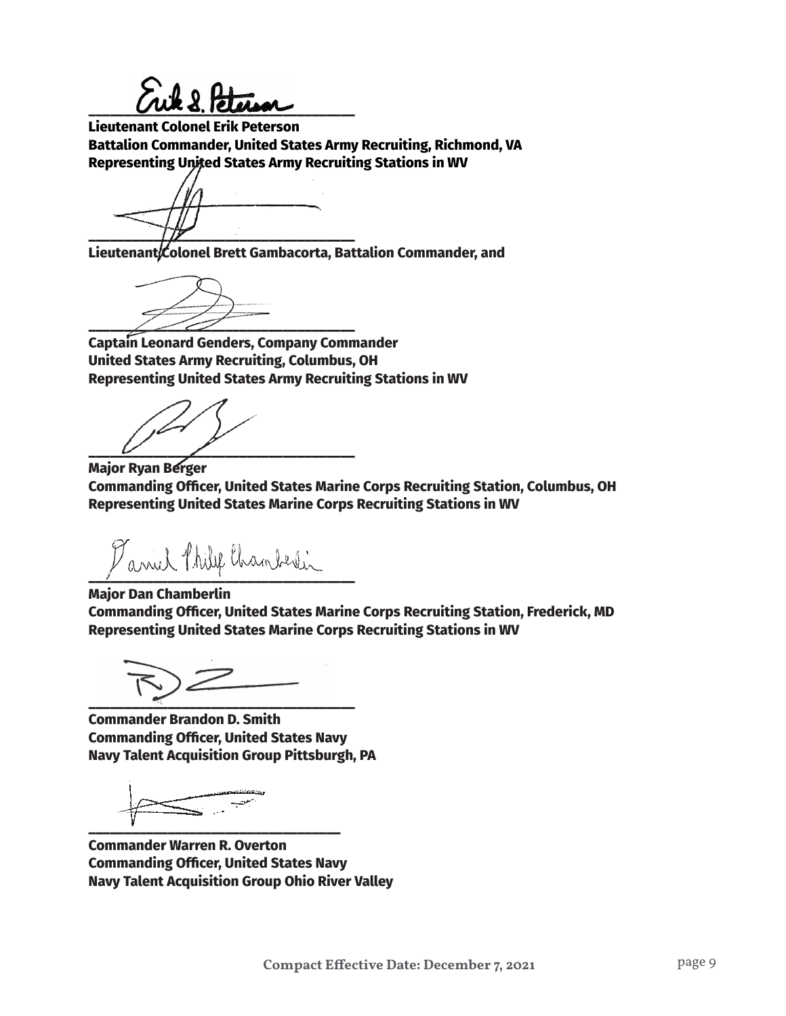$\sum_{i=1}^n k_i$ 

**Lieutenant Colonel Erik Peterson Battalion Commander, United States Army Recruiting, Richmond, VA Representing United States Army Recruiting Stations in WV**

**\_\_\_\_\_\_\_\_\_\_\_\_\_\_\_\_\_\_\_\_\_\_\_\_\_\_\_\_\_\_\_\_\_\_\_\_\_**

**Lieutenant Colonel Brett Gambacorta, Battalion Commander, and** 

**\_\_\_\_\_\_\_\_\_\_\_\_\_\_\_\_\_\_\_\_\_\_\_\_\_\_\_\_\_\_\_\_\_\_\_\_\_**

**Captain Leonard Genders, Company Commander United States Army Recruiting, Columbus, OH Representing United States Army Recruiting Stations in WV**

**\_\_\_\_\_\_\_\_\_\_\_\_\_\_\_\_\_\_\_\_\_\_\_\_\_\_\_\_\_\_\_\_\_\_\_\_\_**

**Major Ryan Berger Commanding Officer, United States Marine Corps Recruiting Station, Columbus, OH Representing United States Marine Corps Recruiting Stations in WV**

 $\mathcal{V}_{avul}$  thilif thanberlin

**Major Dan Chamberlin Commanding Officer, United States Marine Corps Recruiting Station, Frederick, MD Representing United States Marine Corps Recruiting Stations in WV**

**\_\_\_\_\_\_\_\_\_\_\_\_\_\_\_\_\_\_\_\_\_\_\_\_\_\_\_\_\_\_\_\_\_\_\_\_\_**

**Commander Brandon D. Smith Commanding Officer, United States Navy Navy Talent Acquisition Group Pittsburgh, PA**

**\_\_\_\_\_\_\_\_\_\_\_\_\_\_\_\_\_\_\_\_\_\_\_\_\_\_\_\_\_\_\_\_\_\_\_**

**Commander Warren R. Overton Commanding Officer, United States Navy Navy Talent Acquisition Group Ohio River Valley**